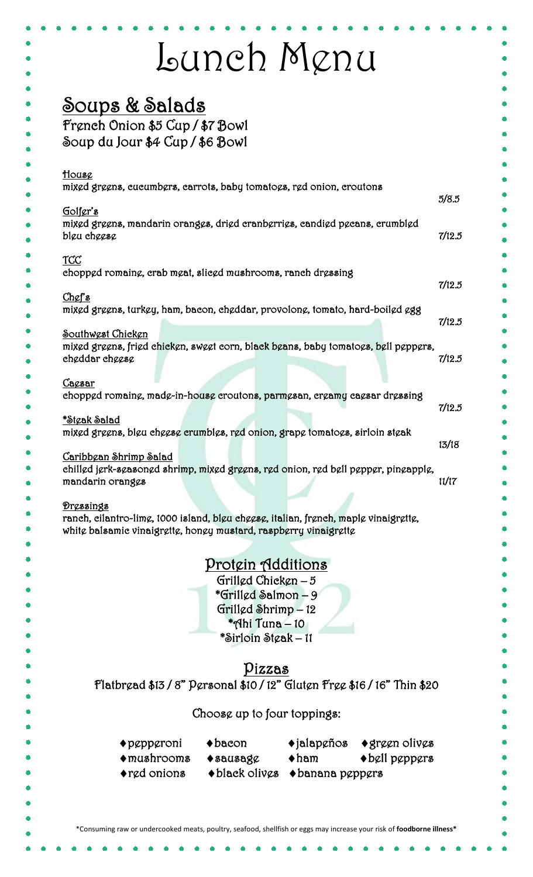|                                                                                                                                                         | Lunch Menu                                                  |                     |                                                                                       |        |
|---------------------------------------------------------------------------------------------------------------------------------------------------------|-------------------------------------------------------------|---------------------|---------------------------------------------------------------------------------------|--------|
| Soups & Salads                                                                                                                                          |                                                             |                     |                                                                                       |        |
| French Onion \$5 Cup / \$7 Bowl                                                                                                                         |                                                             |                     |                                                                                       |        |
| Soup du Jour \$4 Cup / \$6 Bowl                                                                                                                         |                                                             |                     |                                                                                       |        |
|                                                                                                                                                         |                                                             |                     |                                                                                       |        |
| House                                                                                                                                                   |                                                             |                     |                                                                                       |        |
| mixed greens, eueumbers, earrots, baby tomatoes, red onion, eroutons                                                                                    |                                                             |                     |                                                                                       |        |
| Golfer's                                                                                                                                                |                                                             |                     |                                                                                       | 5/8.5  |
| mixed greens, mandarin oranges, dried cranberries, candied pecans, crumbled                                                                             |                                                             |                     |                                                                                       |        |
| blgu chggsg                                                                                                                                             |                                                             |                     |                                                                                       | 7/12.5 |
| TCC                                                                                                                                                     |                                                             |                     |                                                                                       |        |
| chopped romaine, crab meat, slieed mushrooms, ranch dressing                                                                                            |                                                             |                     |                                                                                       | 7/12.5 |
| Chef's                                                                                                                                                  |                                                             |                     |                                                                                       |        |
| mixed greens, turkey, ham, bacon, cheddar, provolone, tomato, hard-boiled egg                                                                           |                                                             |                     |                                                                                       |        |
| Southwest Chicken                                                                                                                                       |                                                             |                     |                                                                                       | 7/12.5 |
| mixed greens, fried chicken, sweet corn, black beans, baby tomatoes, bell peppers,                                                                      |                                                             |                     |                                                                                       |        |
| cheddar cheese                                                                                                                                          |                                                             |                     |                                                                                       | 7/12.5 |
| Cacsar                                                                                                                                                  |                                                             |                     |                                                                                       |        |
| chopped romaine, made-in-house croutons, parmesan, creamy caesar dressing                                                                               |                                                             |                     |                                                                                       | 7/12.5 |
| *Stęak Salad                                                                                                                                            |                                                             |                     |                                                                                       |        |
| mixed greens, bleu cheese crumbles, red onion, grape tomatoes, sirloin steak                                                                            |                                                             |                     |                                                                                       |        |
| Caribbean Shrimp Salad                                                                                                                                  |                                                             |                     |                                                                                       | 13/18  |
| chilled jerk-seasoned shrimp, mixed greens, red onion, red bell pepper, pineapple,                                                                      |                                                             |                     |                                                                                       |        |
| mandarin oranges                                                                                                                                        |                                                             |                     |                                                                                       | 11/17  |
| Dressings                                                                                                                                               |                                                             |                     |                                                                                       |        |
| ranch, eilantro-limg, 1000 island, blgu chggsg, italian, frgnch, maplg vinaigrettg,<br>white balsamic vinaigrette, honey mustard, raspberry vinaigrette |                                                             |                     |                                                                                       |        |
|                                                                                                                                                         |                                                             |                     |                                                                                       |        |
|                                                                                                                                                         | Protein Additions                                           |                     |                                                                                       |        |
|                                                                                                                                                         | Grillgd Chicken $-5$                                        |                     |                                                                                       |        |
|                                                                                                                                                         | *Grilled Salmon – 9                                         |                     |                                                                                       |        |
|                                                                                                                                                         | Grillgd Shrimp - 12                                         |                     |                                                                                       |        |
|                                                                                                                                                         | $*$ Nhi Tuna – 10<br>*Sirloin Stęak – 11                    |                     |                                                                                       |        |
|                                                                                                                                                         |                                                             |                     |                                                                                       |        |
|                                                                                                                                                         | Pizzas                                                      |                     |                                                                                       |        |
| Flatbread \$13 / 8" Personal \$10 / 12" Gluten Free \$16 / 16" Thin \$20                                                                                |                                                             |                     |                                                                                       |        |
|                                                                                                                                                         |                                                             |                     |                                                                                       |        |
|                                                                                                                                                         | Choose up to four toppings:                                 |                     |                                                                                       |        |
| $\bullet$ pepperoni                                                                                                                                     | $\blacklozenge$ bacon                                       |                     | $\triangle$ jalap $\varphi$ ños $\triangle$ gr $\varphi$ $\varphi$ n oliv $\varphi$ s |        |
| $\bullet$ mushrooms                                                                                                                                     | $\blacklozenge$ sausag $\varrho$                            | $\blacklozenge$ ham | $\blacklozenge$ bell peppers                                                          |        |
| $\blacklozenge$ r $\boldsymbol{\mathop{cd}}$ onions                                                                                                     | $\blacklozenge$ black olives $\blacklozenge$ banana peppers |                     |                                                                                       |        |
|                                                                                                                                                         |                                                             |                     |                                                                                       |        |
|                                                                                                                                                         |                                                             |                     |                                                                                       |        |